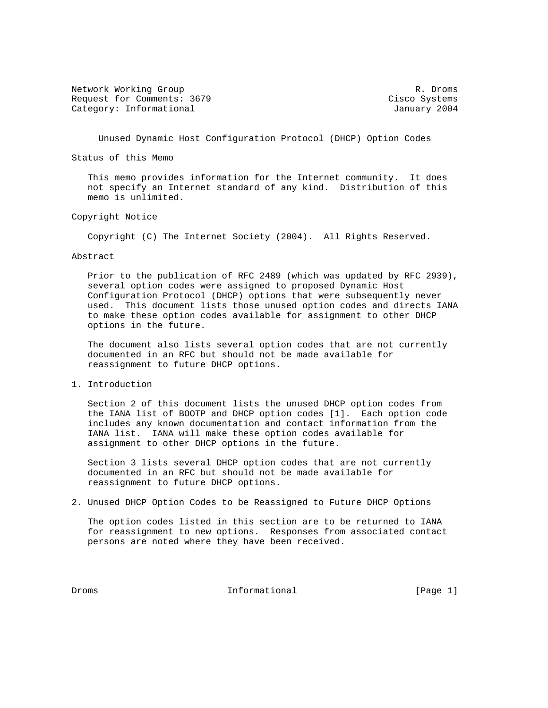Network Working Group and the set of the set of the set of the set of the set of the set of the set of the set of the set of the set of the set of the set of the set of the set of the set of the set of the set of the set o Request for Comments: 3679 Cisco Systems Category: Informational and Category: Informational and January 2004

Unused Dynamic Host Configuration Protocol (DHCP) Option Codes

Status of this Memo

 This memo provides information for the Internet community. It does not specify an Internet standard of any kind. Distribution of this memo is unlimited.

### Copyright Notice

Copyright (C) The Internet Society (2004). All Rights Reserved.

#### Abstract

 Prior to the publication of RFC 2489 (which was updated by RFC 2939), several option codes were assigned to proposed Dynamic Host Configuration Protocol (DHCP) options that were subsequently never used. This document lists those unused option codes and directs IANA to make these option codes available for assignment to other DHCP options in the future.

 The document also lists several option codes that are not currently documented in an RFC but should not be made available for reassignment to future DHCP options.

1. Introduction

 Section 2 of this document lists the unused DHCP option codes from the IANA list of BOOTP and DHCP option codes [1]. Each option code includes any known documentation and contact information from the IANA list. IANA will make these option codes available for assignment to other DHCP options in the future.

 Section 3 lists several DHCP option codes that are not currently documented in an RFC but should not be made available for reassignment to future DHCP options.

2. Unused DHCP Option Codes to be Reassigned to Future DHCP Options

 The option codes listed in this section are to be returned to IANA for reassignment to new options. Responses from associated contact persons are noted where they have been received.

Droms **Informational Informational** [Page 1]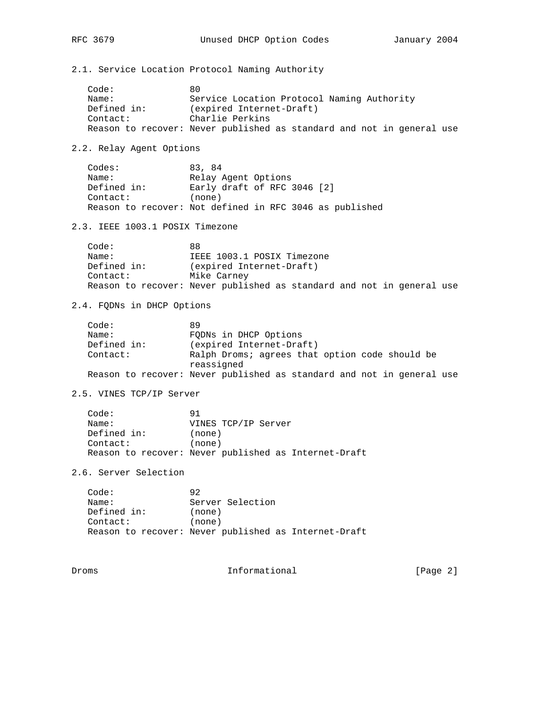2.1. Service Location Protocol Naming Authority

| Code:       | 80                                                                    |
|-------------|-----------------------------------------------------------------------|
|             |                                                                       |
| Name:       | Service Location Protocol Naming Authority                            |
| Defined in: | (expired Internet-Draft)                                              |
| Contact:    | Charlie Perkins                                                       |
|             | Reason to recover: Never published as standard and not in general use |

2.2. Relay Agent Options

| Codes:      | 83, 84                                                  |
|-------------|---------------------------------------------------------|
| Name:       | Relay Agent Options                                     |
| Defined in: | Early draft of RFC 3046 [2]                             |
| Contact:    | (none)                                                  |
|             | Reason to recover: Not defined in RFC 3046 as published |

2.3. IEEE 1003.1 POSIX Timezone

| Code:       | 88                                                                    |
|-------------|-----------------------------------------------------------------------|
| Name:       | IEEE 1003.1 POSIX Timezone                                            |
| Defined in: | (expired Internet-Draft)                                              |
| Contact:    | Mike Carney                                                           |
|             | Reason to recover: Never published as standard and not in general use |

2.4. FQDNs in DHCP Options

| Code:<br>89<br>FODNs in DHCP Options<br>Name:<br>Defined in:<br>(expired Internet-Draft) |  |
|------------------------------------------------------------------------------------------|--|
|                                                                                          |  |
|                                                                                          |  |
|                                                                                          |  |
| Ralph Droms; agrees that option code should be<br>Context:                               |  |
| reassigned                                                                               |  |
| Reason to recover: Never published as standard and not in general use                    |  |

2.5. VINES TCP/IP Server

| Code:    |             | 91                                                   |
|----------|-------------|------------------------------------------------------|
| Name:    |             | VINES TCP/IP Server                                  |
|          | Defined in: | (none)                                               |
| Contact: |             | (none)                                               |
|          |             | Reason to recover: Never published as Internet-Draft |

2.6. Server Selection

| Code:       | 92                                                   |
|-------------|------------------------------------------------------|
| Name:       | Server Selection                                     |
| Defined in: | (none)                                               |
| Contact:    | (none)                                               |
|             | Reason to recover: Never published as Internet-Draft |

Droms Informational [Page 2]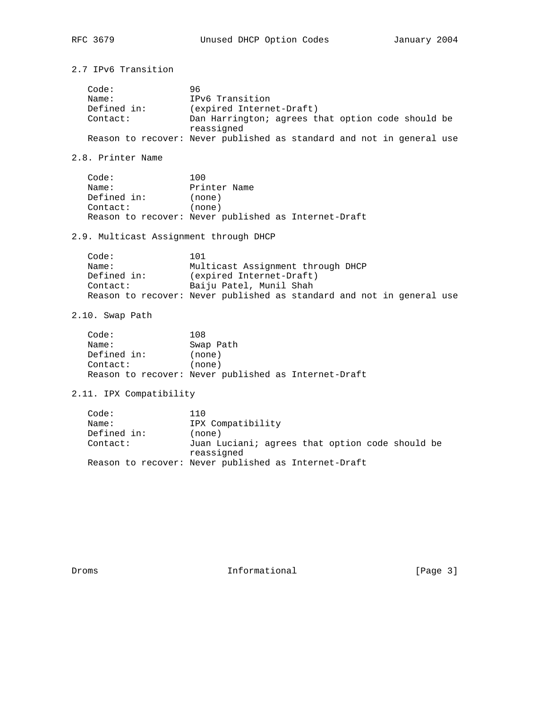| 2.7 IPv6 Transition                       |                                                                                                                                                                          |  |
|-------------------------------------------|--------------------------------------------------------------------------------------------------------------------------------------------------------------------------|--|
| Code:<br>Name:<br>Defined in:<br>Contact: | 96<br>IPv6 Transition<br>(expired Internet-Draft)<br>Dan Harrington; agrees that option code should be<br>reassigned                                                     |  |
|                                           | Reason to recover: Never published as standard and not in general use                                                                                                    |  |
| 2.8. Printer Name                         |                                                                                                                                                                          |  |
| Code:<br>Name:<br>Defined in:<br>Contact: | 100<br>Printer Name<br>(none)<br>(none)<br>Reason to recover: Never published as Internet-Draft                                                                          |  |
| 2.9. Multicast Assignment through DHCP    |                                                                                                                                                                          |  |
| Code:<br>Name:<br>Defined in:<br>Contact: | 101<br>Multicast Assignment through DHCP<br>(expired Internet-Draft)<br>Baiju Patel, Munil Shah<br>Reason to recover: Never published as standard and not in general use |  |
| 2.10. Swap Path                           |                                                                                                                                                                          |  |
| Code:<br>Name:<br>Defined in:<br>Contact: | 108<br>Swap Path<br>(none)<br>(none)<br>Reason to recover: Never published as Internet-Draft                                                                             |  |
| 2.11. IPX Compatibility                   |                                                                                                                                                                          |  |
| Code:<br>Name:<br>Defined in:<br>Contact: | 110<br>IPX Compatibility<br>(none)<br>Juan Luciani; agrees that option code should be<br>reassigned<br>Reason to recover: Never published as Internet-Draft              |  |
| Droms                                     | Informational<br>[Page 3]                                                                                                                                                |  |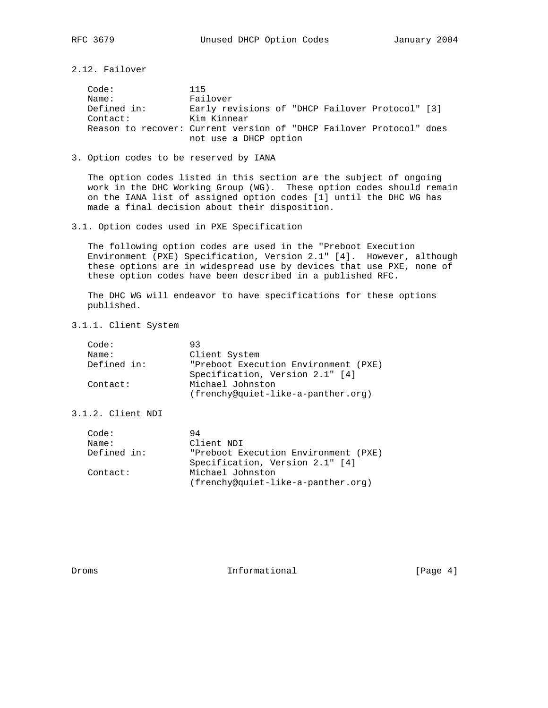2.12. Failover

Code: 115<br>Name: Fai Name: Failover Defined in: Early revisions of "DHCP Failover Protocol" [3] Contact: Kim Kinnear Reason to recover: Current version of "DHCP Failover Protocol" does not use a DHCP option

## 3. Option codes to be reserved by IANA

 The option codes listed in this section are the subject of ongoing work in the DHC Working Group (WG). These option codes should remain on the IANA list of assigned option codes [1] until the DHC WG has made a final decision about their disposition.

### 3.1. Option codes used in PXE Specification

 The following option codes are used in the "Preboot Execution Environment (PXE) Specification, Version 2.1" [4]. However, although these options are in widespread use by devices that use PXE, none of these option codes have been described in a published RFC.

 The DHC WG will endeavor to have specifications for these options published.

3.1.1. Client System

| Code:       | 93.                                  |
|-------------|--------------------------------------|
| Name:       | Client System                        |
| Defined in: | "Preboot Execution Environment (PXE) |
|             | Specification, Version 2.1" [4]      |
| Contact:    | Michael Johnston                     |
|             | (frenchy@quiet-like-a-panther.org)   |

# 3.1.2. Client NDI

| Code:       | 94                                   |
|-------------|--------------------------------------|
| Name:       | Client NDI                           |
| Defined in: | "Preboot Execution Environment (PXE) |
|             | Specification, Version 2.1" [4]      |
| Contact:    | Michael Johnston                     |
|             | (frenchy@quiet-like-a-panther.org)   |

Droms 1nformational [Page 4]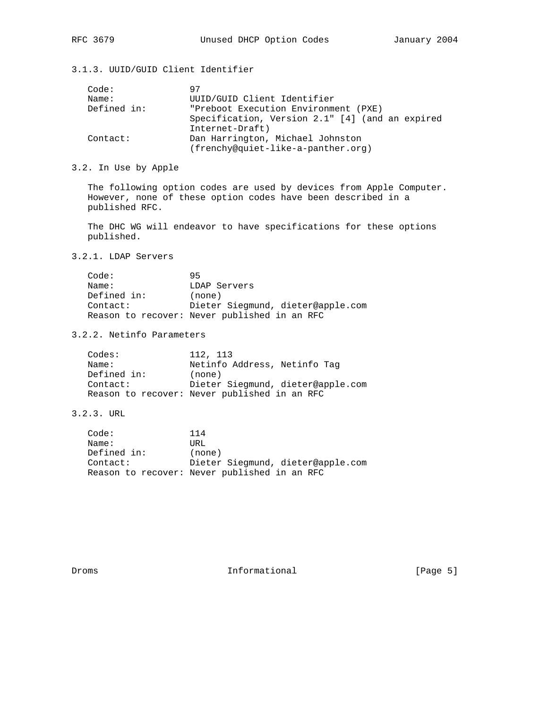# 3.1.3. UUID/GUID Client Identifier

| Code:       | 97                                              |
|-------------|-------------------------------------------------|
| Name:       | UUID/GUID Client Identifier                     |
| Defined in: | "Preboot Execution Environment (PXE)            |
|             | Specification, Version 2.1" [4] (and an expired |
|             | Internet-Draft)                                 |
| Contact:    | Dan Harrington, Michael Johnston                |
|             | (frenchy@quiet-like-a-panther.org)              |

## 3.2. In Use by Apple

 The following option codes are used by devices from Apple Computer. However, none of these option codes have been described in a published RFC.

 The DHC WG will endeavor to have specifications for these options published.

# 3.2.1. LDAP Servers

| Code:       | 95                                           |
|-------------|----------------------------------------------|
| Name:       | LDAP Servers                                 |
| Defined in: | (none)                                       |
| Contact:    | Dieter Siegmund, dieter@apple.com            |
|             | Reason to recover: Never published in an RFC |

## 3.2.2. Netinfo Parameters

| Codes:      | 112, 113                                     |
|-------------|----------------------------------------------|
| Name:       | Netinfo Address, Netinfo Tag                 |
| Defined in: | (none)                                       |
| Contact:    | Dieter Siegmund, dieter@apple.com            |
|             | Reason to recover: Never published in an RFC |

# 3.2.3. URL

| Code:       | 114                                          |
|-------------|----------------------------------------------|
| Name:       | URL                                          |
| Defined in: | (none)                                       |
| Context:    | Dieter Siegmund, dieter@apple.com            |
|             | Reason to recover: Never published in an RFC |

Droms 1nformational [Page 5]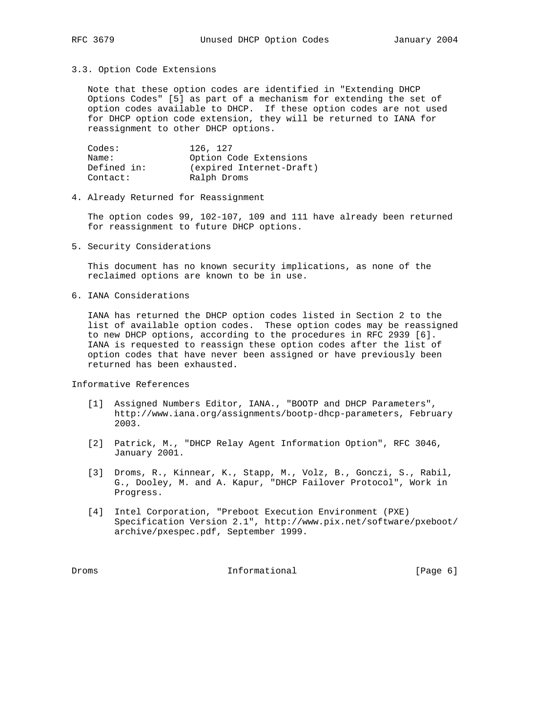#### 3.3. Option Code Extensions

 Note that these option codes are identified in "Extending DHCP Options Codes" [5] as part of a mechanism for extending the set of option codes available to DHCP. If these option codes are not used for DHCP option code extension, they will be returned to IANA for reassignment to other DHCP options.

| Codes:      | 126, 127                 |
|-------------|--------------------------|
| Name:       | Option Code Extensions   |
| Defined in: | (expired Internet-Draft) |
| Contact:    | Ralph Droms              |

#### 4. Already Returned for Reassignment

 The option codes 99, 102-107, 109 and 111 have already been returned for reassignment to future DHCP options.

5. Security Considerations

 This document has no known security implications, as none of the reclaimed options are known to be in use.

6. IANA Considerations

 IANA has returned the DHCP option codes listed in Section 2 to the list of available option codes. These option codes may be reassigned to new DHCP options, according to the procedures in RFC 2939 [6]. IANA is requested to reassign these option codes after the list of option codes that have never been assigned or have previously been returned has been exhausted.

Informative References

- [1] Assigned Numbers Editor, IANA., "BOOTP and DHCP Parameters", http://www.iana.org/assignments/bootp-dhcp-parameters, February 2003.
- [2] Patrick, M., "DHCP Relay Agent Information Option", RFC 3046, January 2001.
- [3] Droms, R., Kinnear, K., Stapp, M., Volz, B., Gonczi, S., Rabil, G., Dooley, M. and A. Kapur, "DHCP Failover Protocol", Work in Progress.
- [4] Intel Corporation, "Preboot Execution Environment (PXE) Specification Version 2.1", http://www.pix.net/software/pxeboot/ archive/pxespec.pdf, September 1999.

Droms 1nformational [Page 6]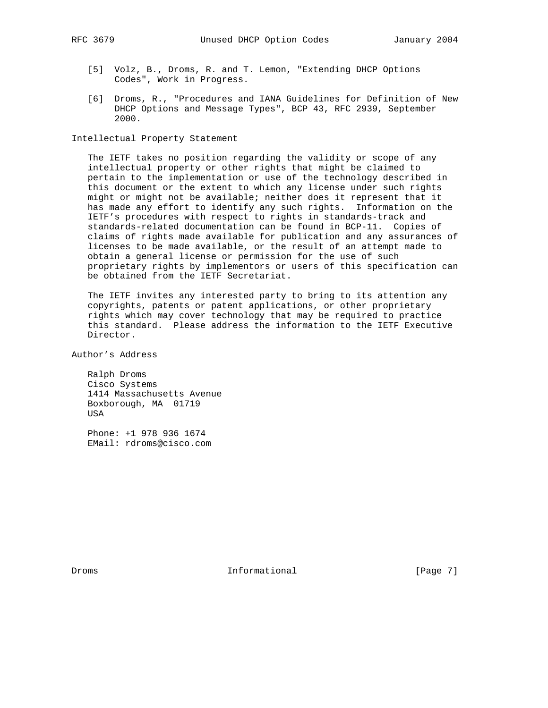- [5] Volz, B., Droms, R. and T. Lemon, "Extending DHCP Options Codes", Work in Progress.
- [6] Droms, R., "Procedures and IANA Guidelines for Definition of New DHCP Options and Message Types", BCP 43, RFC 2939, September 2000.

Intellectual Property Statement

 The IETF takes no position regarding the validity or scope of any intellectual property or other rights that might be claimed to pertain to the implementation or use of the technology described in this document or the extent to which any license under such rights might or might not be available; neither does it represent that it has made any effort to identify any such rights. Information on the IETF's procedures with respect to rights in standards-track and standards-related documentation can be found in BCP-11. Copies of claims of rights made available for publication and any assurances of licenses to be made available, or the result of an attempt made to obtain a general license or permission for the use of such proprietary rights by implementors or users of this specification can be obtained from the IETF Secretariat.

 The IETF invites any interested party to bring to its attention any copyrights, patents or patent applications, or other proprietary rights which may cover technology that may be required to practice this standard. Please address the information to the IETF Executive Director.

Author's Address

 Ralph Droms Cisco Systems 1414 Massachusetts Avenue Boxborough, MA 01719 USA

 Phone: +1 978 936 1674 EMail: rdroms@cisco.com

Droms 1nformational [Page 7]